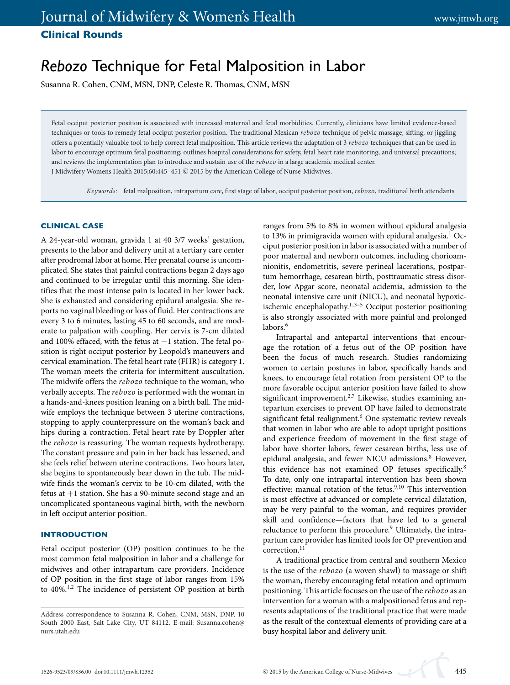# *Rebozo* Technique for Fetal Malposition in Labor

Susanna R. Cohen, CNM, MSN, DNP, Celeste R. Thomas, CNM, MSN

Fetal occiput posterior position is associated with increased maternal and fetal morbidities. Currently, clinicians have limited evidence-based techniques or tools to remedy fetal occiput posterior position. The traditional Mexican *rebozo* technique of pelvic massage, sifting, or jiggling offers a potentially valuable tool to help correct fetal malposition. This article reviews the adaptation of 3 *rebozo* techniques that can be used in labor to encourage optimum fetal positioning; outlines hospital considerations for safety, fetal heart rate monitoring, and universal precautions; and reviews the implementation plan to introduce and sustain use of the *rebozo* in a large academic medical center. J Midwifery Womens Health 2015;60:445-451 © 2015 by the American College of Nurse-Midwives.

*Keywords:* fetal malposition, intrapartum care, first stage of labor, occiput posterior position, *rebozo*, traditional birth attendants

## **CLINICAL CASE**

A 24-year-old woman, gravida 1 at 40 3/7 weeks' gestation, presents to the labor and delivery unit at a tertiary care center after prodromal labor at home. Her prenatal course is uncomplicated. She states that painful contractions began 2 days ago and continued to be irregular until this morning. She identifies that the most intense pain is located in her lower back. She is exhausted and considering epidural analgesia. She reports no vaginal bleeding or loss of fluid. Her contractions are every 3 to 6 minutes, lasting 45 to 60 seconds, and are moderate to palpation with coupling. Her cervix is 7-cm dilated and 100% effaced, with the fetus at −1 station. The fetal position is right occiput posterior by Leopold's maneuvers and cervical examination. The fetal heart rate (FHR) is category 1. The woman meets the criteria for intermittent auscultation. The midwife offers the *rebozo* technique to the woman, who verbally accepts. The *rebozo* is performed with the woman in a hands-and-knees position leaning on a birth ball. The midwife employs the technique between 3 uterine contractions, stopping to apply counterpressure on the woman's back and hips during a contraction. Fetal heart rate by Doppler after the *rebozo* is reassuring. The woman requests hydrotherapy. The constant pressure and pain in her back has lessened, and she feels relief between uterine contractions. Two hours later, she begins to spontaneously bear down in the tub. The midwife finds the woman's cervix to be 10-cm dilated, with the fetus at +1 station. She has a 90-minute second stage and an uncomplicated spontaneous vaginal birth, with the newborn in left occiput anterior position.

# **INTRODUCTION**

Fetal occiput posterior (OP) position continues to be the most common fetal malposition in labor and a challenge for midwives and other intrapartum care providers. Incidence of OP position in the first stage of labor ranges from 15% to 40%.1,2 The incidence of persistent OP position at birth

ranges from 5% to 8% in women without epidural analgesia to 13% in primigravida women with epidural analgesia.<sup>1</sup> Occiput posterior position in labor is associated with a number of poor maternal and newborn outcomes, including chorioamnionitis, endometritis, severe perineal lacerations, postpartum hemorrhage, cesarean birth, posttraumatic stress disorder, low Apgar score, neonatal acidemia, admission to the neonatal intensive care unit (NICU), and neonatal hypoxicischemic encephalopathy.<sup>1,3–5</sup> Occiput posterior positioning is also strongly associated with more painful and prolonged labors.<sup>6</sup>

Intrapartal and antepartal interventions that encourage the rotation of a fetus out of the OP position have been the focus of much research. Studies randomizing women to certain postures in labor, specifically hands and knees, to encourage fetal rotation from persistent OP to the more favorable occiput anterior position have failed to show significant improvement. $2.7$  Likewise, studies examining antepartum exercises to prevent OP have failed to demonstrate significant fetal realignment.<sup>6</sup> One systematic review reveals that women in labor who are able to adopt upright positions and experience freedom of movement in the first stage of labor have shorter labors, fewer cesarean births, less use of epidural analgesia, and fewer NICU admissions.<sup>8</sup> However, this evidence has not examined OP fetuses specifically.<sup>8</sup> To date, only one intrapartal intervention has been shown effective: manual rotation of the fetus. $9,10$  This intervention is most effective at advanced or complete cervical dilatation, may be very painful to the woman, and requires provider skill and confidence—factors that have led to a general reluctance to perform this procedure.<sup>9</sup> Ultimately, the intrapartum care provider has limited tools for OP prevention and correction.<sup>11</sup>

A traditional practice from central and southern Mexico is the use of the *rebozo* (a woven shawl) to massage or shift the woman, thereby encouraging fetal rotation and optimum positioning. This article focuses on the use of the *rebozo* as an intervention for a woman with a malpositioned fetus and represents adaptations of the traditional practice that were made as the result of the contextual elements of providing care at a busy hospital labor and delivery unit.

Address correspondence to Susanna R. Cohen, CNM, MSN, DNP, 10 South 2000 East, Salt Lake City, UT 84112. E-mail: Susanna.cohen@ nurs.utah.edu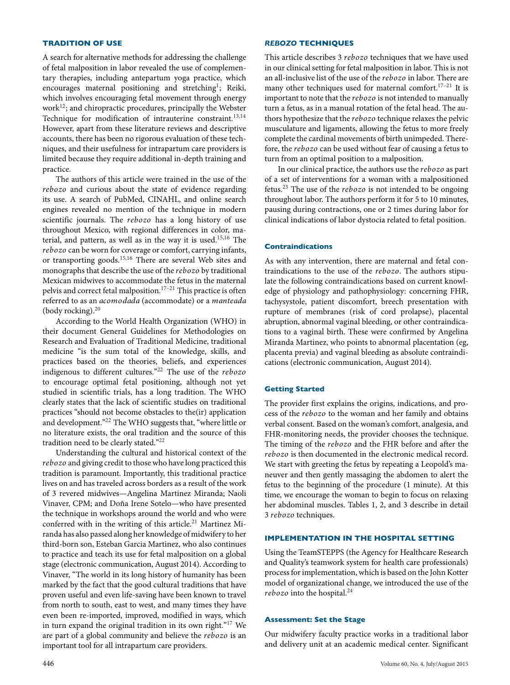#### **TRADITION OF USE**

A search for alternative methods for addressing the challenge of fetal malposition in labor revealed the use of complementary therapies, including antepartum yoga practice, which encourages maternal positioning and stretching<sup>1</sup>; Reiki, which involves encouraging fetal movement through energy work<sup>12</sup>; and chiropractic procedures, principally the Webster Technique for modification of intrauterine constraint.<sup>13,14</sup> However, apart from these literature reviews and descriptive accounts, there has been no rigorous evaluation of these techniques, and their usefulness for intrapartum care providers is limited because they require additional in-depth training and practice.

The authors of this article were trained in the use of the *rebozo* and curious about the state of evidence regarding its use. A search of PubMed, CINAHL, and online search engines revealed no mention of the technique in modern scientific journals. The *rebozo* has a long history of use throughout Mexico, with regional differences in color, material, and pattern, as well as in the way it is used.15,16 The *rebozo* can be worn for coverage or comfort, carrying infants, or transporting goods.<sup>15,16</sup> There are several Web sites and monographs that describe the use of the *rebozo* by traditional Mexican midwives to accommodate the fetus in the maternal pelvis and correct fetal malposition.<sup>17-21</sup> This practice is often referred to as an *acomodada* (accommodate) or a *manteada* (body rocking). $20$ 

According to the World Health Organization (WHO) in their document General Guidelines for Methodologies on Research and Evaluation of Traditional Medicine, traditional medicine "is the sum total of the knowledge, skills, and practices based on the theories, beliefs, and experiences indigenous to different cultures."<sup>22</sup> The use of the *rebozo* to encourage optimal fetal positioning, although not yet studied in scientific trials, has a long tradition. The WHO clearly states that the lack of scientific studies on traditional practices "should not become obstacles to the(ir) application and development."22 The WHO suggests that, "where little or no literature exists, the oral tradition and the source of this tradition need to be clearly stated."22

Understanding the cultural and historical context of the *rebozo* and giving credit to those who have long practiced this tradition is paramount. Importantly, this traditional practice lives on and has traveled across borders as a result of the work of 3 revered midwives—Angelina Martinez Miranda; Naoli Vinaver, CPM; and Doña Irene Sotelo-who have presented the technique in workshops around the world and who were conferred with in the writing of this article.<sup>21</sup> Martinez Miranda has also passed along her knowledge of midwifery to her third-born son, Esteban Garcia Martinez, who also continues to practice and teach its use for fetal malposition on a global stage (electronic communication, August 2014). According to Vinaver, "The world in its long history of humanity has been marked by the fact that the good cultural traditions that have proven useful and even life-saving have been known to travel from north to south, east to west, and many times they have even been re-imported, improved, modified in ways, which in turn expand the original tradition in its own right."<sup>17</sup> We are part of a global community and believe the *rebozo* is an important tool for all intrapartum care providers.

#### *REBOZO* **TECHNIQUES**

This article describes 3 *rebozo* techniques that we have used in our clinical setting for fetal malposition in labor. This is not an all-inclusive list of the use of the *rebozo* in labor. There are many other techniques used for maternal comfort.<sup>17-21</sup> It is important to note that the *rebozo* is not intended to manually turn a fetus, as in a manual rotation of the fetal head. The authors hypothesize that the *rebozo* technique relaxes the pelvic musculature and ligaments, allowing the fetus to more freely complete the cardinal movements of birth unimpeded. Therefore, the *rebozo* can be used without fear of causing a fetus to turn from an optimal position to a malposition.

In our clinical practice, the authors use the *rebozo* as part of a set of interventions for a woman with a malpositioned fetus.<sup>23</sup> The use of the *rebozo* is not intended to be ongoing throughout labor. The authors perform it for 5 to 10 minutes, pausing during contractions, one or 2 times during labor for clinical indications of labor dystocia related to fetal position.

### **Contraindications**

As with any intervention, there are maternal and fetal contraindications to the use of the *rebozo*. The authors stipulate the following contraindications based on current knowledge of physiology and pathophysiology: concerning FHR, tachysystole, patient discomfort, breech presentation with rupture of membranes (risk of cord prolapse), placental abruption, abnormal vaginal bleeding, or other contraindications to a vaginal birth. These were confirmed by Angelina Miranda Martinez, who points to abnormal placentation (eg, placenta previa) and vaginal bleeding as absolute contraindications (electronic communication, August 2014).

## **Getting Started**

The provider first explains the origins, indications, and process of the *rebozo* to the woman and her family and obtains verbal consent. Based on the woman's comfort, analgesia, and FHR-monitoring needs, the provider chooses the technique. The timing of the *rebozo* and the FHR before and after the *rebozo* is then documented in the electronic medical record. We start with greeting the fetus by repeating a Leopold's maneuver and then gently massaging the abdomen to alert the fetus to the beginning of the procedure (1 minute). At this time, we encourage the woman to begin to focus on relaxing her abdominal muscles. Tables 1, 2, and 3 describe in detail 3 *rebozo* techniques.

# **IMPLEMENTATION IN THE HOSPITAL SETTING**

Using the TeamSTEPPS (the Agency for Healthcare Research and Quality's teamwork system for health care professionals) process for implementation, which is based on the John Kotter model of organizational change, we introduced the use of the  $rebozo$  into the hospital.<sup>24</sup>

## **Assessment: Set the Stage**

Our midwifery faculty practice works in a traditional labor and delivery unit at an academic medical center. Significant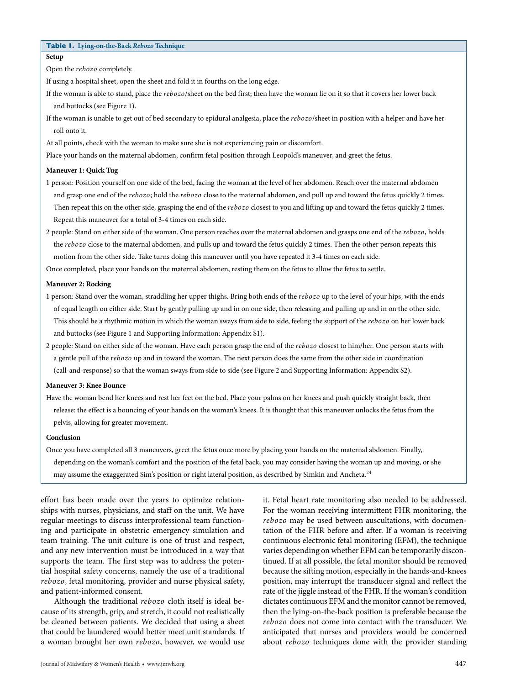# **Table 1. Lying-on-the-Back** *Rebozo* **Technique**

**Setup**

Open the *rebozo* completely.

If using a hospital sheet, open the sheet and fold it in fourths on the long edge.

- If the woman is able to stand, place the *rebozo*/sheet on the bed first; then have the woman lie on it so that it covers her lower back and buttocks (see Figure 1).
- If the woman is unable to get out of bed secondary to epidural analgesia, place the *rebozo*/sheet in position with a helper and have her roll onto it.
- At all points, check with the woman to make sure she is not experiencing pain or discomfort.

Place your hands on the maternal abdomen, confirm fetal position through Leopold's maneuver, and greet the fetus.

## **Maneuver 1: Quick Tug**

- 1 person: Position yourself on one side of the bed, facing the woman at the level of her abdomen. Reach over the maternal abdomen and grasp one end of the *rebozo*; hold the *rebozo* close to the maternal abdomen, and pull up and toward the fetus quickly 2 times. Then repeat this on the other side, grasping the end of the *rebozo* closest to you and lifting up and toward the fetus quickly 2 times. Repeat this maneuver for a total of 3-4 times on each side.
- 2 people: Stand on either side of the woman. One person reaches over the maternal abdomen and grasps one end of the *rebozo*, holds the *rebozo* close to the maternal abdomen, and pulls up and toward the fetus quickly 2 times. Then the other person repeats this motion from the other side. Take turns doing this maneuver until you have repeated it 3-4 times on each side.

Once completed, place your hands on the maternal abdomen, resting them on the fetus to allow the fetus to settle.

# **Maneuver 2: Rocking**

- 1 person: Stand over the woman, straddling her upper thighs. Bring both ends of the *rebozo* up to the level of your hips, with the ends of equal length on either side. Start by gently pulling up and in on one side, then releasing and pulling up and in on the other side. This should be a rhythmic motion in which the woman sways from side to side, feeling the support of the *rebozo* on her lower back and buttocks (see Figure 1 and Supporting Information: Appendix S1).
- 2 people: Stand on either side of the woman. Have each person grasp the end of the *rebozo* closest to him/her. One person starts with a gentle pull of the *rebozo* up and in toward the woman. The next person does the same from the other side in coordination (call-and-response) so that the woman sways from side to side (see Figure 2 and Supporting Information: Appendix S2).

#### **Maneuver 3: Knee Bounce**

Have the woman bend her knees and rest her feet on the bed. Place your palms on her knees and push quickly straight back, then release: the effect is a bouncing of your hands on the woman's knees. It is thought that this maneuver unlocks the fetus from the pelvis, allowing for greater movement.

#### **Conclusion**

Once you have completed all 3 maneuvers, greet the fetus once more by placing your hands on the maternal abdomen. Finally, depending on the woman's comfort and the position of the fetal back, you may consider having the woman up and moving, or she may assume the exaggerated Sim's position or right lateral position, as described by Simkin and Ancheta.<sup>24</sup>

effort has been made over the years to optimize relationships with nurses, physicians, and staff on the unit. We have regular meetings to discuss interprofessional team functioning and participate in obstetric emergency simulation and team training. The unit culture is one of trust and respect, and any new intervention must be introduced in a way that supports the team. The first step was to address the potential hospital safety concerns, namely the use of a traditional *rebozo*, fetal monitoring, provider and nurse physical safety, and patient-informed consent.

Although the traditional *rebozo* cloth itself is ideal because of its strength, grip, and stretch, it could not realistically be cleaned between patients. We decided that using a sheet that could be laundered would better meet unit standards. If a woman brought her own *rebozo*, however, we would use

it. Fetal heart rate monitoring also needed to be addressed. For the woman receiving intermittent FHR monitoring, the *rebozo* may be used between auscultations, with documentation of the FHR before and after. If a woman is receiving continuous electronic fetal monitoring (EFM), the technique varies depending on whether EFM can be temporarily discontinued. If at all possible, the fetal monitor should be removed because the sifting motion, especially in the hands-and-knees position, may interrupt the transducer signal and reflect the rate of the jiggle instead of the FHR. If the woman's condition dictates continuous EFM and the monitor cannot be removed, then the lying-on-the-back position is preferable because the *rebozo* does not come into contact with the transducer. We anticipated that nurses and providers would be concerned about *rebozo* techniques done with the provider standing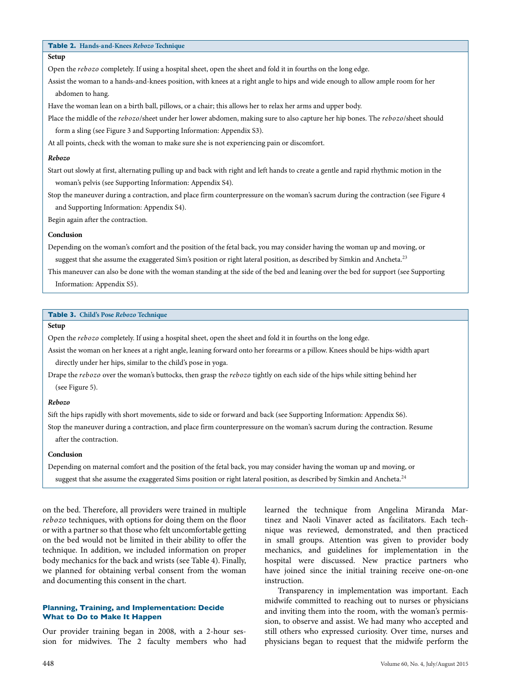# **Table 2. Hands-and-Knees** *Rebozo* **Technique**

# **Setup**

Open the *rebozo* completely. If using a hospital sheet, open the sheet and fold it in fourths on the long edge.

Assist the woman to a hands-and-knees position, with knees at a right angle to hips and wide enough to allow ample room for her abdomen to hang.

Have the woman lean on a birth ball, pillows, or a chair; this allows her to relax her arms and upper body.

Place the middle of the *rebozo*/sheet under her lower abdomen, making sure to also capture her hip bones. The *rebozo*/sheet should form a sling (see Figure 3 and Supporting Information: Appendix S3).

At all points, check with the woman to make sure she is not experiencing pain or discomfort.

#### *Rebozo*

Start out slowly at first, alternating pulling up and back with right and left hands to create a gentle and rapid rhythmic motion in the woman's pelvis (see Supporting Information: Appendix S4).

Stop the maneuver during a contraction, and place firm counterpressure on the woman's sacrum during the contraction (see Figure 4 and Supporting Information: Appendix S4).

Begin again after the contraction.

#### **Conclusion**

Depending on the woman's comfort and the position of the fetal back, you may consider having the woman up and moving, or

suggest that she assume the exaggerated Sim's position or right lateral position, as described by Simkin and Ancheta.<sup>23</sup>

This maneuver can also be done with the woman standing at the side of the bed and leaning over the bed for support (see Supporting Information: Appendix S5).

#### **Table 3. Child's Pose** *Rebozo* **Technique**

# **Setup**

Open the *rebozo* completely. If using a hospital sheet, open the sheet and fold it in fourths on the long edge.

Assist the woman on her knees at a right angle, leaning forward onto her forearms or a pillow. Knees should be hips-width apart directly under her hips, similar to the child's pose in yoga.

Drape the *rebozo* over the woman's buttocks, then grasp the *rebozo* tightly on each side of the hips while sitting behind her (see Figure 5).

#### *Rebozo*

Sift the hips rapidly with short movements, side to side or forward and back (see Supporting Information: Appendix S6).

Stop the maneuver during a contraction, and place firm counterpressure on the woman's sacrum during the contraction. Resume after the contraction.

## **Conclusion**

Depending on maternal comfort and the position of the fetal back, you may consider having the woman up and moving, or suggest that she assume the exaggerated Sims position or right lateral position, as described by Simkin and Ancheta.<sup>24</sup>

on the bed. Therefore, all providers were trained in multiple *rebozo* techniques, with options for doing them on the floor or with a partner so that those who felt uncomfortable getting on the bed would not be limited in their ability to offer the technique. In addition, we included information on proper body mechanics for the back and wrists (see Table 4). Finally, we planned for obtaining verbal consent from the woman and documenting this consent in the chart.

# **Planning, Training, and Implementation: Decide What to Do to Make It Happen**

Our provider training began in 2008, with a 2-hour session for midwives. The 2 faculty members who had learned the technique from Angelina Miranda Martinez and Naoli Vinaver acted as facilitators. Each technique was reviewed, demonstrated, and then practiced in small groups. Attention was given to provider body mechanics, and guidelines for implementation in the hospital were discussed. New practice partners who have joined since the initial training receive one-on-one instruction.

Transparency in implementation was important. Each midwife committed to reaching out to nurses or physicians and inviting them into the room, with the woman's permission, to observe and assist. We had many who accepted and still others who expressed curiosity. Over time, nurses and physicians began to request that the midwife perform the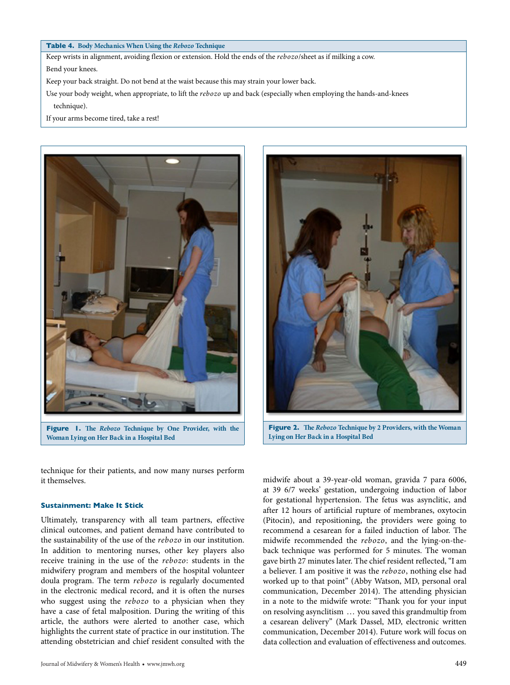## **Table 4. Body Mechanics When Using the** *Rebozo* **Technique**

Keep wrists in alignment, avoiding flexion or extension. Hold the ends of the *rebozo*/sheet as if milking a cow.

Bend your knees.

Keep your back straight. Do not bend at the waist because this may strain your lower back.

Use your body weight, when appropriate, to lift the *rebozo* up and back (especially when employing the hands-and-knees technique).

If your arms become tired, take a rest!





**Figure 2. The** *Rebozo* **Technique by 2 Providers, with the Woman Lying on Her Back in a Hospital Bed**

technique for their patients, and now many nurses perform it themselves.

## **Sustainment: Make It Stick**

Ultimately, transparency with all team partners, effective clinical outcomes, and patient demand have contributed to the sustainability of the use of the *rebozo* in our institution. In addition to mentoring nurses, other key players also receive training in the use of the *rebozo*: students in the midwifery program and members of the hospital volunteer doula program. The term *rebozo* is regularly documented in the electronic medical record, and it is often the nurses who suggest using the *rebozo* to a physician when they have a case of fetal malposition. During the writing of this article, the authors were alerted to another case, which highlights the current state of practice in our institution. The attending obstetrician and chief resident consulted with the

midwife about a 39-year-old woman, gravida 7 para 6006, at 39 6/7 weeks' gestation, undergoing induction of labor for gestational hypertension. The fetus was asynclitic, and after 12 hours of artificial rupture of membranes, oxytocin (Pitocin), and repositioning, the providers were going to recommend a cesarean for a failed induction of labor. The midwife recommended the *rebozo*, and the lying-on-theback technique was performed for 5 minutes. The woman gave birth 27 minutes later. The chief resident reflected, "I am a believer. I am positive it was the *rebozo*, nothing else had worked up to that point" (Abby Watson, MD, personal oral communication, December 2014). The attending physician in a note to the midwife wrote: "Thank you for your input on resolving asynclitism ... you saved this grandmultip from a cesarean delivery" (Mark Dassel, MD, electronic written communication, December 2014). Future work will focus on data collection and evaluation of effectiveness and outcomes.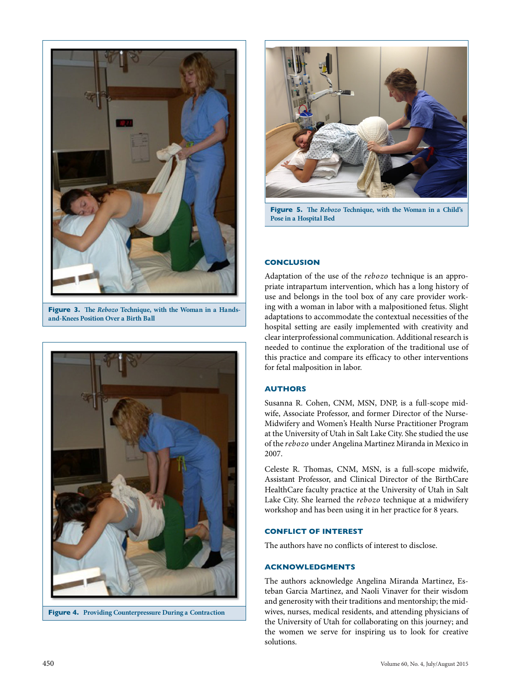

**Figure 3. The** *Rebozo* **Technique, with the Woman in a Handsand-Knees Position Over a Birth Ball**



**Figure 4. Providing Counterpressure During a Contraction**



**Figure 5. The** *Rebozo* **Technique, with the Woman in a Child's Pose in a Hospital Bed**

# **CONCLUSION**

Adaptation of the use of the *rebozo* technique is an appropriate intrapartum intervention, which has a long history of use and belongs in the tool box of any care provider working with a woman in labor with a malpositioned fetus. Slight adaptations to accommodate the contextual necessities of the hospital setting are easily implemented with creativity and clear interprofessional communication. Additional research is needed to continue the exploration of the traditional use of this practice and compare its efficacy to other interventions for fetal malposition in labor.

# **AUTHORS**

Susanna R. Cohen, CNM, MSN, DNP, is a full-scope midwife, Associate Professor, and former Director of the Nurse-Midwifery and Women's Health Nurse Practitioner Program at the University of Utah in Salt Lake City. She studied the use of the *rebozo* under Angelina Martinez Miranda in Mexico in 2007.

Celeste R. Thomas, CNM, MSN, is a full-scope midwife, Assistant Professor, and Clinical Director of the BirthCare HealthCare faculty practice at the University of Utah in Salt Lake City. She learned the *rebozo* technique at a midwifery workshop and has been using it in her practice for 8 years.

## **CONFLICT OF INTEREST**

The authors have no conflicts of interest to disclose.

# **ACKNOWLEDGMENTS**

The authors acknowledge Angelina Miranda Martinez, Esteban Garcia Martinez, and Naoli Vinaver for their wisdom and generosity with their traditions and mentorship; the midwives, nurses, medical residents, and attending physicians of the University of Utah for collaborating on this journey; and the women we serve for inspiring us to look for creative solutions.